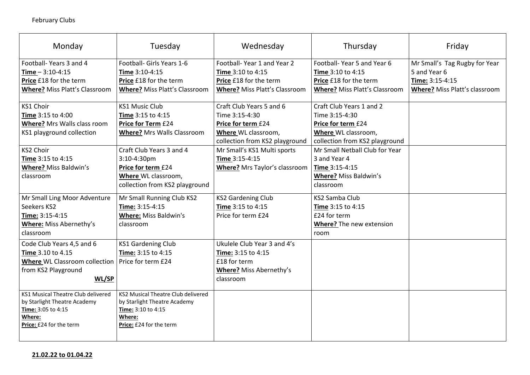|   | Friday                                                           |  |  |  |  |
|---|------------------------------------------------------------------|--|--|--|--|
|   | Mr Small's Tag Rugby for Year<br>5 and Year 6<br>Time: 3:15-4:15 |  |  |  |  |
| ገ | <b>Where?</b> Miss Platt's classroom                             |  |  |  |  |
|   |                                                                  |  |  |  |  |
| d |                                                                  |  |  |  |  |
|   |                                                                  |  |  |  |  |
|   |                                                                  |  |  |  |  |
|   |                                                                  |  |  |  |  |
|   |                                                                  |  |  |  |  |
|   |                                                                  |  |  |  |  |
|   |                                                                  |  |  |  |  |
|   |                                                                  |  |  |  |  |
|   |                                                                  |  |  |  |  |
|   |                                                                  |  |  |  |  |
|   |                                                                  |  |  |  |  |
|   |                                                                  |  |  |  |  |

| Monday                                    | Tuesday                                   | Wednesday                            | Thursday                             | Friday                     |
|-------------------------------------------|-------------------------------------------|--------------------------------------|--------------------------------------|----------------------------|
| Football-Years 3 and 4                    | Football- Girls Years 1-6                 | Football-Year 1 and Year 2           | Football-Year 5 and Year 6           | Mr Small's Tag Rug         |
| $Time - 3:10 - 4:15$                      | <b>Time 3:10-4:15</b>                     | <b>Time 3:10 to 4:15</b>             | <b>Time 3:10 to 4:15</b>             | 5 and Year 6               |
| <b>Price £18 for the term</b>             | Price £18 for the term                    | Price £18 for the term               | <b>Price £18 for the term</b>        | Time: 3:15-4:15            |
| <b>Where?</b> Miss Platt's Classroom      | <b>Where?</b> Miss Platt's Classroom      | <b>Where?</b> Miss Platt's Classroom | <b>Where? Miss Platt's Classroom</b> | <b>Where? Miss Platt's</b> |
| <b>KS1 Choir</b>                          | <b>KS1 Music Club</b>                     | Craft Club Years 5 and 6             | Craft Club Years 1 and 2             |                            |
| <b>Time 3:15 to 4:00</b>                  | <b>Time 3:15 to 4:15</b>                  | Time 3:15-4:30                       | Time 3:15-4:30                       |                            |
| <b>Where?</b> Mrs Walls class room        | <b>Price for Term £24</b>                 | <b>Price for term £24</b>            | Price for term £24                   |                            |
| KS1 playground collection                 | <b>Where?</b> Mrs Walls Classroom         | Where WL classroom,                  | Where WL classroom,                  |                            |
|                                           |                                           | collection from KS2 playground       | collection from KS2 playground       |                            |
| <b>KS2 Choir</b>                          | Craft Club Years 3 and 4                  | Mr Small's KS1 Multi sports          | Mr Small Netball Club for Year       |                            |
| <b>Time 3:15 to 4:15</b>                  | $3:10-4:30$ pm                            | Time 3:15-4:15                       | 3 and Year 4                         |                            |
| <b>Where? Miss Baldwin's</b>              | Price for term £24                        | <b>Where?</b> Mrs Taylor's classroom | <b>Time 3:15-4:15</b>                |                            |
| classroom                                 | <b>Where WL classroom,</b>                |                                      | <b>Where? Miss Baldwin's</b>         |                            |
|                                           | collection from KS2 playground            |                                      | classroom                            |                            |
| Mr Small Ling Moor Adventure              | Mr Small Running Club KS2                 | <b>KS2 Gardening Club</b>            | <b>KS2 Samba Club</b>                |                            |
| Seekers KS2                               | Time: 3:15-4:15                           | Time 3:15 to 4:15                    | <b>Time</b> 3:15 to 4:15             |                            |
| Time: 3:15-4:15                           | <b>Where: Miss Baldwin's</b>              | Price for term £24                   | £24 for term                         |                            |
| <b>Where: Miss Abernethy's</b>            | classroom                                 |                                      | <b>Where?</b> The new extension      |                            |
| classroom                                 |                                           |                                      | room                                 |                            |
| Code Club Years 4,5 and 6                 | <b>KS1 Gardening Club</b>                 | Ukulele Club Year 3 and 4's          |                                      |                            |
| <b>Time</b> 3.10 to 4.15                  | <b>Time: 3:15 to 4:15</b>                 | <b>Time:</b> $3:15$ to $4:15$        |                                      |                            |
| <b>Where WL Classroom collection</b>      | Price for term £24                        | £18 for term                         |                                      |                            |
| from KS2 Playground                       |                                           | <b>Where?</b> Miss Abernethy's       |                                      |                            |
| WL/SP                                     |                                           | classroom                            |                                      |                            |
| <b>KS1 Musical Theatre Club delivered</b> | <b>KS2 Musical Theatre Club delivered</b> |                                      |                                      |                            |
| by Starlight Theatre Academy              | by Starlight Theatre Academy              |                                      |                                      |                            |
| Time: 3:05 to 4:15                        | <b>Time: 3:10 to 4:15</b>                 |                                      |                                      |                            |
| Where:                                    | Where:                                    |                                      |                                      |                            |
| Price: £24 for the term                   | <b>Price:</b> £24 for the term            |                                      |                                      |                            |
|                                           |                                           |                                      |                                      |                            |